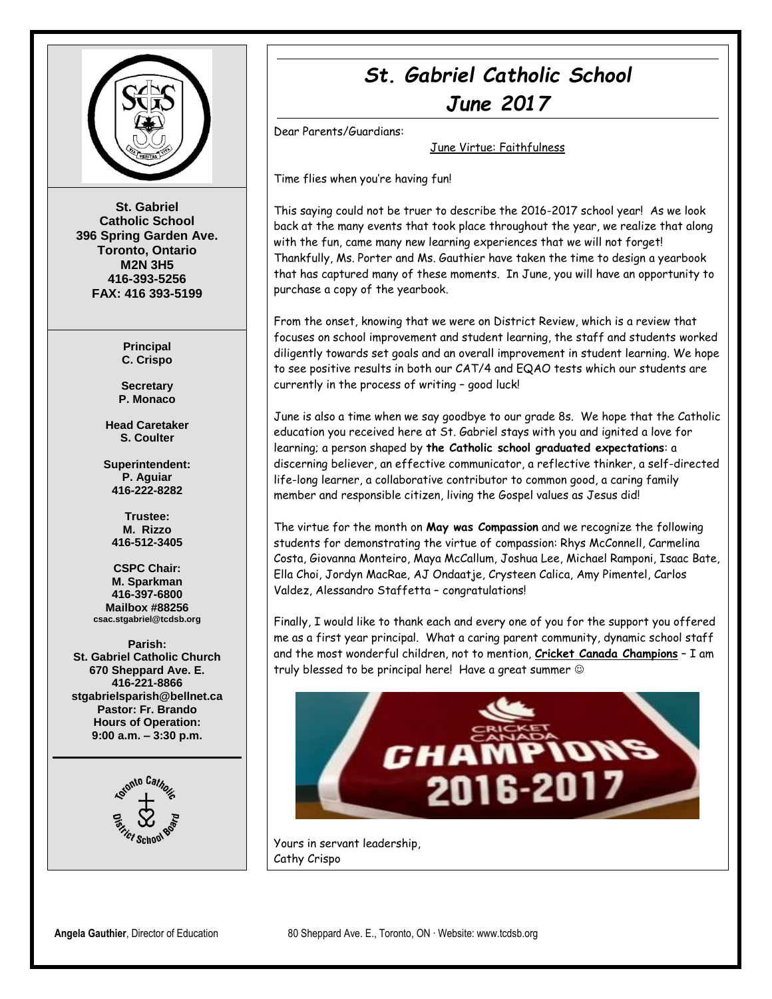

**St. Gabriel Catholic School 396 Spring Garden Ave. Toronto, Ontario M2N 3H5 416-393-5256 FAX: 416 393-5199**

> **Principal C. Crispo**

**Secretary P. Monaco**

**Head Caretaker S. Coulter**

**Superintendent: P. Aguiar 416-222-8282**

**Trustee: M. Rizzo 416-512-3405**

**CSPC Chair: M. Sparkman 416-397-6800 Mailbox #88256 csac.stgabriel@tcdsb.org**

**Parish: St. Gabriel Catholic Church 670 Sheppard Ave. E. 416-221-8866 stgabrielsparish@bellnet.ca Pastor: Fr. Brando Hours of Operation: 9:00 a.m. – 3:30 p.m.**



# *St. Gabriel Catholic School June 2017*

Dear Parents/Guardians:

June Virtue: Faithfulness

Time flies when you're having fun!

This saying could not be truer to describe the 2016-2017 school year! As we look back at the many events that took place throughout the year, we realize that along with the fun, came many new learning experiences that we will not forget! Thankfully, Ms. Porter and Ms. Gauthier have taken the time to design a yearbook that has captured many of these moments. In June, you will have an opportunity to purchase a copy of the yearbook.

From the onset, knowing that we were on District Review, which is a review that focuses on school improvement and student learning, the staff and students worked diligently towards set goals and an overall improvement in student learning. We hope to see positive results in both our CAT/4 and EQAO tests which our students are currently in the process of writing – good luck!

June is also a time when we say goodbye to our grade 8s. We hope that the Catholic education you received here at St. Gabriel stays with you and ignited a love for learning; a person shaped by **the Catholic school graduated expectations**: a discerning believer, an effective communicator, a reflective thinker, a self-directed life-long learner, a collaborative contributor to common good, a caring family member and responsible citizen, living the Gospel values as Jesus did!

The virtue for the month on **May was Compassion** and we recognize the following students for demonstrating the virtue of compassion: Rhys McConnell, Carmelina Costa, Giovanna Monteiro, Maya McCallum, Joshua Lee, Michael Ramponi, Isaac Bate, Ella Choi, Jordyn MacRae, AJ Ondaatje, Crysteen Calica, Amy Pimentel, Carlos Valdez, Alessandro Staffetta – congratulations!

Finally, I would like to thank each and every one of you for the support you offered me as a first year principal. What a caring parent community, dynamic school staff and the most wonderful children, not to mention, **Cricket Canada Champions** – I am truly blessed to be principal here! Have a great summer



Yours in servant leadership, Cathy Crispo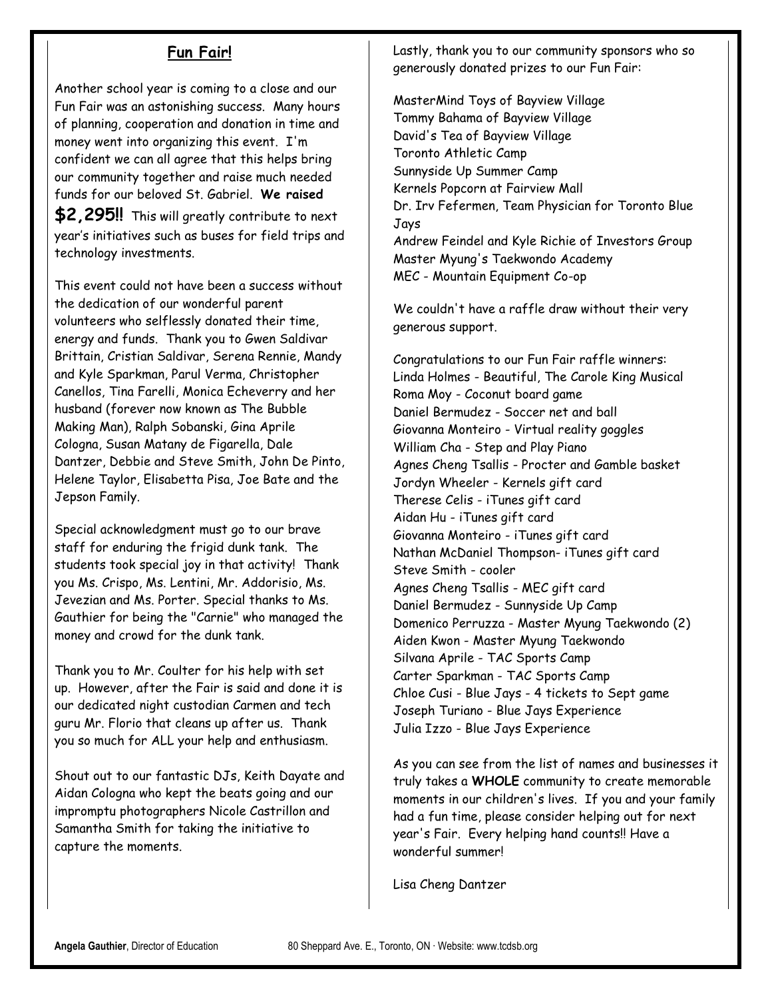## **Fun Fair!**

Another school year is coming to a close and our Fun Fair was an astonishing success. Many hours of planning, cooperation and donation in time and money went into organizing this event. I'm confident we can all agree that this helps bring our community together and raise much needed funds for our beloved St. Gabriel. **We raised** 

**\$2,295!!** This will greatly contribute to next year's initiatives such as buses for field trips and technology investments.

This event could not have been a success without the dedication of our wonderful parent volunteers who selflessly donated their time, energy and funds. Thank you to Gwen Saldivar Brittain, Cristian Saldivar, Serena Rennie, Mandy and Kyle Sparkman, Parul Verma, Christopher Canellos, Tina Farelli, Monica Echeverry and her husband (forever now known as The Bubble Making Man), Ralph Sobanski, Gina Aprile Cologna, Susan Matany de Figarella, Dale Dantzer, Debbie and Steve Smith, John De Pinto, Helene Taylor, Elisabetta Pisa, Joe Bate and the Jepson Family.

Special acknowledgment must go to our brave staff for enduring the frigid dunk tank. The students took special joy in that activity! Thank you Ms. Crispo, Ms. Lentini, Mr. Addorisio, Ms. Jevezian and Ms. Porter. Special thanks to Ms. Gauthier for being the "Carnie" who managed the money and crowd for the dunk tank.

Thank you to Mr. Coulter for his help with set up. However, after the Fair is said and done it is our dedicated night custodian Carmen and tech guru Mr. Florio that cleans up after us. Thank you so much for ALL your help and enthusiasm.

Shout out to our fantastic DJs, Keith Dayate and Aidan Cologna who kept the beats going and our impromptu photographers Nicole Castrillon and Samantha Smith for taking the initiative to capture the moments.

Lastly, thank you to our community sponsors who so generously donated prizes to our Fun Fair:

MasterMind Toys of Bayview Village Tommy Bahama of Bayview Village David's Tea of Bayview Village Toronto Athletic Camp Sunnyside Up Summer Camp Kernels Popcorn at Fairview Mall Dr. Irv Fefermen, Team Physician for Toronto Blue Jays Andrew Feindel and Kyle Richie of Investors Group Master Myung's Taekwondo Academy MEC - Mountain Equipment Co-op

We couldn't have a raffle draw without their very generous support.

Congratulations to our Fun Fair raffle winners: Linda Holmes - Beautiful, The Carole King Musical Roma Moy - Coconut board game Daniel Bermudez - Soccer net and ball Giovanna Monteiro - Virtual reality goggles William Cha - Step and Play Piano Agnes Cheng Tsallis - Procter and Gamble basket Jordyn Wheeler - Kernels gift card Therese Celis - iTunes gift card Aidan Hu - iTunes gift card Giovanna Monteiro - iTunes gift card Nathan McDaniel Thompson- iTunes gift card Steve Smith - cooler Agnes Cheng Tsallis - MEC gift card Daniel Bermudez - Sunnyside Up Camp Domenico Perruzza - Master Myung Taekwondo (2) Aiden Kwon - Master Myung Taekwondo Silvana Aprile - TAC Sports Camp Carter Sparkman - TAC Sports Camp Chloe Cusi - Blue Jays - 4 tickets to Sept game Joseph Turiano - Blue Jays Experience Julia Izzo - Blue Jays Experience

As you can see from the list of names and businesses it truly takes a **WHOLE** community to create memorable moments in our children's lives. If you and your family had a fun time, please consider helping out for next year's Fair. Every helping hand counts!! Have a wonderful summer!

Lisa Cheng Dantzer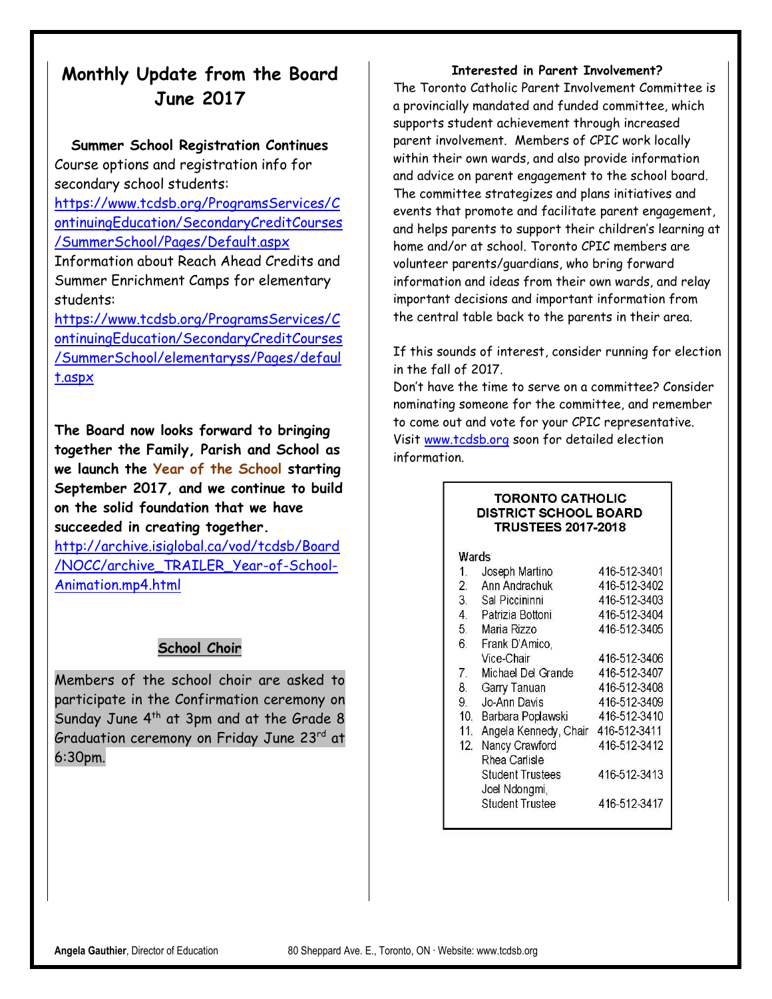## **Monthly Update from the Board June 2017**

#### **Summer School Registration Continues**

Course options and registration info for secondary school students:

[https://www.tcdsb.org/ProgramsServices/C](https://www.tcdsb.org/ProgramsServices/ContinuingEducation/SecondaryCreditCourses/SummerSchool/Pages/Default.aspx) [ontinuingEducation/SecondaryCreditCourses](https://www.tcdsb.org/ProgramsServices/ContinuingEducation/SecondaryCreditCourses/SummerSchool/Pages/Default.aspx) [/SummerSchool/Pages/Default.aspx](https://www.tcdsb.org/ProgramsServices/ContinuingEducation/SecondaryCreditCourses/SummerSchool/Pages/Default.aspx)

Information about Reach Ahead Credits and Summer Enrichment Camps for elementary students:

[https://www.tcdsb.org/ProgramsServices/C](https://www.tcdsb.org/ProgramsServices/ContinuingEducation/SecondaryCreditCourses/SummerSchool/elementaryss/Pages/default.aspx) [ontinuingEducation/SecondaryCreditCourses](https://www.tcdsb.org/ProgramsServices/ContinuingEducation/SecondaryCreditCourses/SummerSchool/elementaryss/Pages/default.aspx) [/SummerSchool/elementaryss/Pages/defaul](https://www.tcdsb.org/ProgramsServices/ContinuingEducation/SecondaryCreditCourses/SummerSchool/elementaryss/Pages/default.aspx) [t.aspx](https://www.tcdsb.org/ProgramsServices/ContinuingEducation/SecondaryCreditCourses/SummerSchool/elementaryss/Pages/default.aspx)

**The Board now looks forward to bringing together the Family, Parish and School as we launch the Year of the School starting September 2017, and we continue to build on the solid foundation that we have succeeded in creating together.**

[http://archive.isiglobal.ca/vod/tcdsb/Board](http://archive.isiglobal.ca/vod/tcdsb/Board/NOCC/archive_TRAILER_Year-of-School-Animation.mp4.html) [/NOCC/archive\\_TRAILER\\_Year-of-School-](http://archive.isiglobal.ca/vod/tcdsb/Board/NOCC/archive_TRAILER_Year-of-School-Animation.mp4.html)[Animation.mp4.html](http://archive.isiglobal.ca/vod/tcdsb/Board/NOCC/archive_TRAILER_Year-of-School-Animation.mp4.html)

## **School Choir**

Members of the school choir are asked to participate in the Confirmation ceremony on Sunday June  $4<sup>th</sup>$  at 3pm and at the Grade 8 Graduation ceremony on Friday June 23rd at 6:30pm.

#### **Interested in Parent Involvement?**

The Toronto Catholic Parent Involvement Committee is a provincially mandated and funded committee, which supports student achievement through increased parent involvement. Members of CPIC work locally within their own wards, and also provide information and advice on parent engagement to the school board. The committee strategizes and plans initiatives and events that promote and facilitate parent engagement, and helps parents to support their children's learning at home and/or at school. Toronto CPIC members are volunteer parents/guardians, who bring forward information and ideas from their own wards, and relay important decisions and important information from the central table back to the parents in their area.

If this sounds of interest, consider running for election in the fall of 2017.

Don't have the time to serve on a committee? Consider nominating someone for the committee, and remember to come out and vote for your CPIC representative. Visit [www.tcdsb.org](http://www.tcdsb.org/) soon for detailed election information.

#### **TORONTO CATHOLIC DISTRICT SCHOOL BOARD TRUSTEES 2017-2018**

#### Wards

| 1.               | Joseph Martino          | 416-512-3401 |
|------------------|-------------------------|--------------|
| $\overline{2}$ . | Ann Andrachuk           | 416-512-3402 |
| 3.               | Sal Piccininni          | 416-512-3403 |
| 4                | Patrizia Bottoni        | 416-512-3404 |
| 5.               | Maria Rizzo             | 416-512-3405 |
| 6.               | Frank D'Amico,          |              |
|                  | Vice-Chair              | 416-512-3406 |
| 7.               | Michael Del Grande      | 416-512-3407 |
| 8.               | Garry Tanuan            | 416-512-3408 |
| 9.               | Jo-Ann Davis            | 416-512-3409 |
| 10 <sub>1</sub>  | Barbara Poplawski       | 416-512-3410 |
| 11.              | Angela Kennedy, Chair   | 416-512-3411 |
| 12.              | Nancy Crawford          | 416-512-3412 |
|                  | Rhea Carlisle           |              |
|                  | <b>Student Trustees</b> | 416-512-3413 |
|                  | Joel Ndongmi,           |              |
|                  | <b>Student Trustee</b>  | 416-512-3417 |
|                  |                         |              |